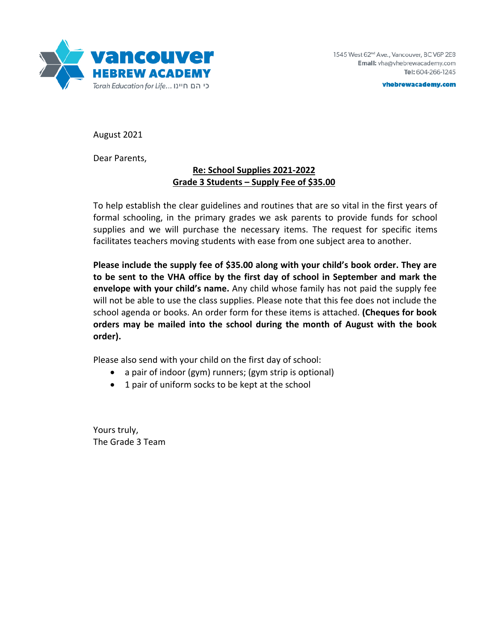

vhebrewacademy.com

August 2021

Dear Parents,

## **Re: School Supplies 2021-2022 Grade 3 Students – Supply Fee of \$35.00**

To help establish the clear guidelines and routines that are so vital in the first years of formal schooling, in the primary grades we ask parents to provide funds for school supplies and we will purchase the necessary items. The request for specific items facilitates teachers moving students with ease from one subject area to another.

**Please include the supply fee of \$35.00 along with your child's book order. They are to be sent to the VHA office by the first day of school in September and mark the envelope with your child's name.** Any child whose family has not paid the supply fee will not be able to use the class supplies. Please note that this fee does not include the school agenda or books. An order form for these items is attached. **(Cheques for book orders may be mailed into the school during the month of August with the book order).** 

Please also send with your child on the first day of school:

- a pair of indoor (gym) runners; (gym strip is optional)
- 1 pair of uniform socks to be kept at the school

Yours truly, The Grade 3 Team